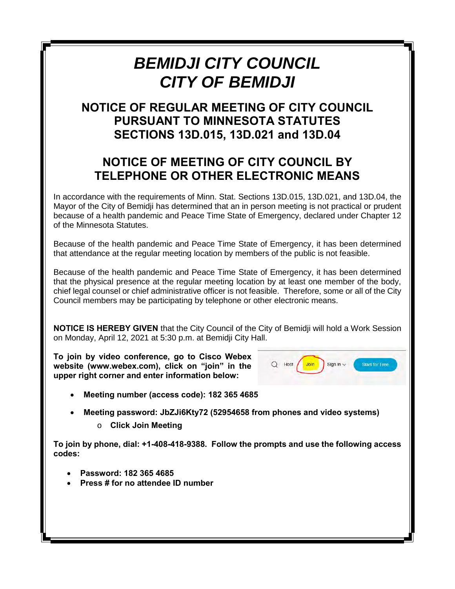#### *BEMIDJI CITY COUNCIL CITY OF BEMIDJI*

#### **NOTICE OF REGULAR MEETING OF CITY COUNCIL PURSUANT TO MINNESOTA STATUTES SECTIONS 13D.015, 13D.021 and 13D.04**

#### **NOTICE OF MEETING OF CITY COUNCIL BY TELEPHONE OR OTHER ELECTRONIC MEANS**

In accordance with the requirements of Minn. Stat. Sections 13D.015, 13D.021, and 13D.04, the Mayor of the City of Bemidji has determined that an in person meeting is not practical or prudent because of a health pandemic and Peace Time State of Emergency, declared under Chapter 12 of the Minnesota Statutes.

Because of the health pandemic and Peace Time State of Emergency, it has been determined that attendance at the regular meeting location by members of the public is not feasible.

Because of the health pandemic and Peace Time State of Emergency, it has been determined that the physical presence at the regular meeting location by at least one member of the body, chief legal counsel or chief administrative officer is not feasible. Therefore, some or all of the City Council members may be participating by telephone or other electronic means.

**NOTICE IS HEREBY GIVEN** that the City Council of the City of Bemidji will hold a Work Session on Monday, April 12, 2021 at 5:30 p.m. at Bemidji City Hall.

**To join by video conference, go to Cisco Webex website (www.webex.com), click on "join" in the upper right corner and enter information below:**



- **Meeting number (access code): 182 365 4685**
- **Meeting password: JbZJi6Kty72 (52954658 from phones and video systems)**
	- o **Click Join Meeting**

**To join by phone, dial: +1-408-418-9388. Follow the prompts and use the following access codes:**

- **Password: 182 365 4685**
- **Press # for no attendee ID number**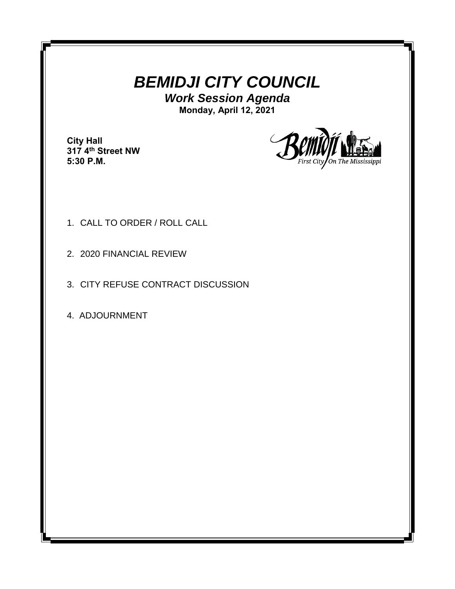#### *BEMIDJI CITY COUNCIL*

*Work Session Agenda* **Monday, April 12, 2021**

**City Hall 317 4th Street NW 5:30 P.M.**



- 1. CALL TO ORDER / ROLL CALL
- 2. 2020 FINANCIAL REVIEW
- 3. CITY REFUSE CONTRACT DISCUSSION
- 4. ADJOURNMENT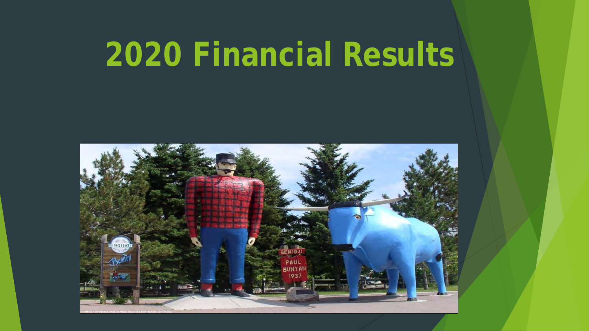# **2020 Financial Results**

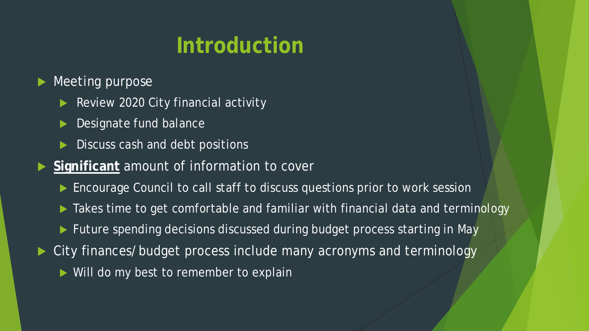# **Introduction**

Meeting purpose

- Review 2020 City financial activity
- Designate fund balance
- Discuss cash and debt positions
- **Significant amount of information to cover** 
	- Encourage Council to call staff to discuss questions prior to work session
	- $\blacktriangleright$  Takes time to get comfortable and familiar with financial data and terminology
	- Future spending decisions discussed during budget process starting in May
- City finances/budget process include many acronyms and terminology
	- Will do my best to remember to explain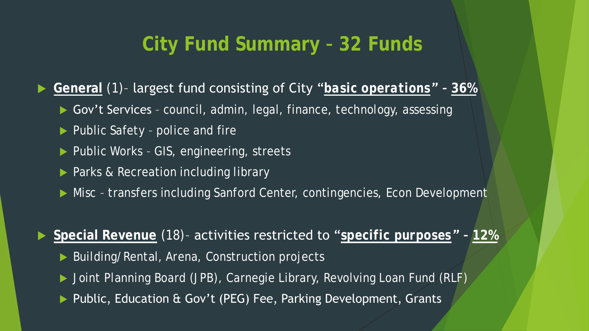## **City Fund Summary – 32 Funds**

**General** (1)– largest fund consisting of City "*basic operations" –* **36%**

- ▶ Gov't Services council, admin, legal, finance, technology, assessing
- ▶ Public Safety police and fire
- ▶ Public Works GIS, engineering, streets
- Parks & Recreation including library
- ▶ Misc transfers including Sanford Center, contingencies, Econ Development

**Special Revenue** (18)– activities restricted to "*specific purposes" –* **12%**

- ▶ Building/Rental, Arena, Construction projects
- ▶ Joint Planning Board (JPB), Carnegie Library, Revolving Loan Fund (RLF)
- ▶ Public, Education & Gov't (PEG) Fee, Parking Development, Grants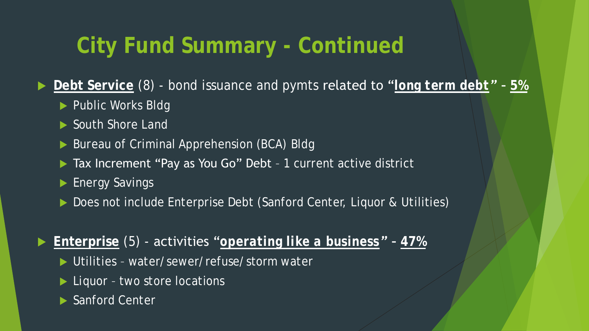# **City Fund Summary - Continued**

▶ Debt Service (8) - bond issuance and pymts related to "*long term debt*" - 5%

- Public Works Bldg
- South Shore Land
- Bureau of Criminal Apprehension (BCA) Bldg
- ▶ Tax Increment "Pay as You Go" Debt 1 current active district
- **Energy Savings**
- ▶ Does not include Enterprise Debt (Sanford Center, Liquor & Utilities)

**Enterprise** (5) - activities "*operating like a business" –* **47%**

- ▶ Utilities water/sewer/refuse/storm water
- ▶ Liquor two store locations
- ▶ Sanford Center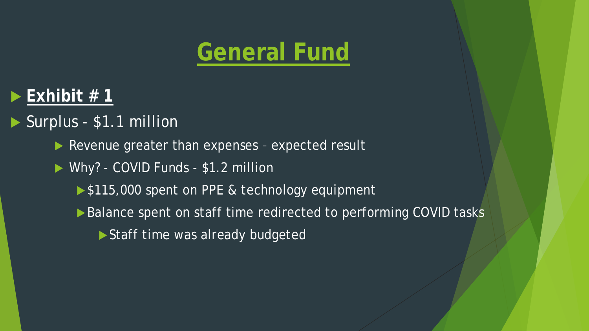# **General Fund**

### $\blacktriangleright$  Exhibit # 1

### Surplus - \$1.1 million

- Revenue greater than expenses expected result
- Why? COVID Funds \$1.2 million
	- ▶ \$115,000 spent on PPE & technology equipment
	- ▶ Balance spent on staff time redirected to performing COVID tasks
		- Staff time was already budgeted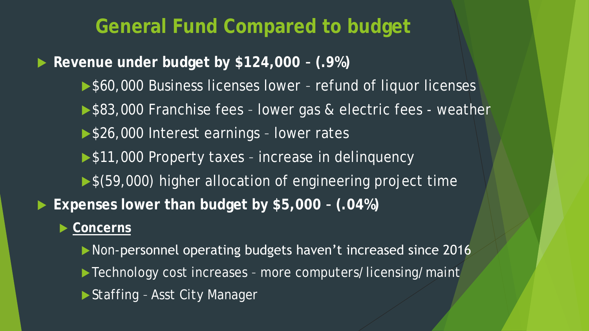**General Fund Compared to budget**

**Revenue under budget by \$124,000 – (.9%)**

- ▶ \$60,000 Business licenses lower refund of liquor licenses
- ▶ \$83,000 Franchise fees lower gas & electric fees weather
- ▶ \$26,000 Interest earnings lower rates
- ▶ \$11,000 Property taxes increase in delinquency
- ▶ \$(59,000) higher allocation of engineering project time
- **Expenses lower than budget by \$5,000 – (.04%)**

### ▶ Concerns

- Non-personnel operating budgets haven't increased since 2016
- ▶ Technology cost increases more computers/licensing/maint
- ▶ Staffing Asst City Manager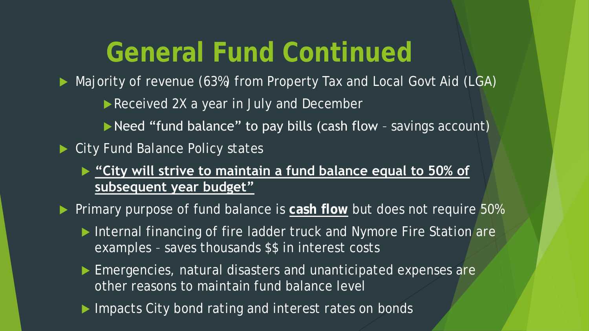# **General Fund Continued**

▶ Majority of revenue (63%) from Property Tax and Local Govt Aid (LGA)

- Received 2X a year in July and December
- Need "fund balance" to pay bills (cash flow savings account)
- ▶ City Fund Balance Policy states
	- **"City will strive to maintain a fund balance equal to 50% of subsequent year budget"**
- **Primary purpose of fund balance is cash flow but does not require 50%** 
	- Internal financing of fire ladder truck and Nymore Fire Station are examples – saves thousands \$\$ in interest costs
	- Emergencies, natural disasters and unanticipated expenses are other reasons to maintain fund balance level
	- Impacts City bond rating and interest rates on bonds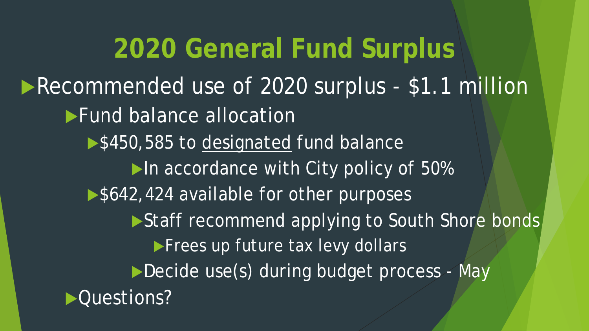**2020 General Fund Surplus** Recommended use of 2020 surplus - \$1.1 million **Fund balance allocation** ▶ \$450,585 to designated fund balance In accordance with City policy of 50% ▶ \$642,424 available for other purposes Staff recommend applying to South Shore bonds **Frees up future tax levy dollars** Decide use(s) during budget process - May Questions?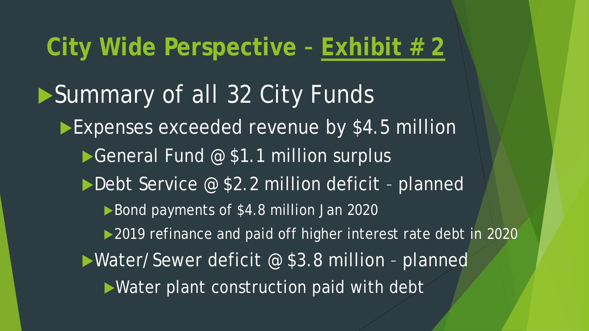# **City Wide Perspective – Exhibit # 2**

Summary of all 32 City Funds Expenses exceeded revenue by \$4.5 million General Fund @ \$1.1 million surplus Debt Service @ \$2.2 million deficit - planned ▶ Bond payments of \$4.8 million Jan 2020 ▶ 2019 refinance and paid off higher interest rate debt in 2020 Water/Sewer deficit @ \$3.8 million - planned Water plant construction paid with debt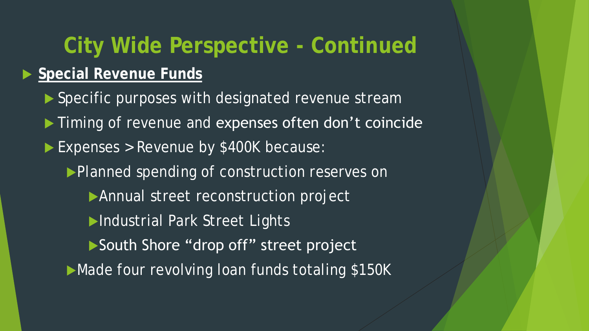# **City Wide Perspective - Continued Special Revenue Funds**

- ▶ Specific purposes with designated revenue stream
- $\blacktriangleright$  Timing of revenue and expenses often don't coincide
- Expenses > Revenue by \$400K because:
	- Planned spending of construction reserves on
		- Annual street reconstruction project
		- Industrial Park Street Lights
		- South Shore "drop off" street project
	- Made four revolving loan funds totaling \$150K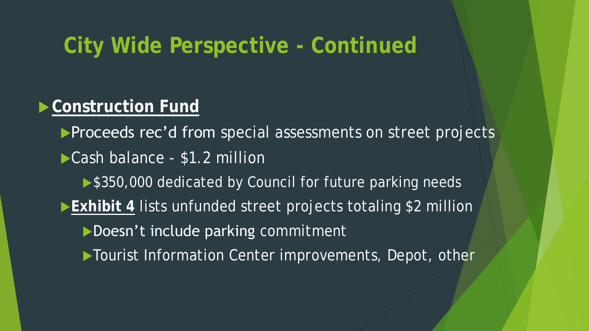## **City Wide Perspective - Continued**

### **Construction Fund**

**Proceeds rec'd from** special assessments on street projects

- ▶ Cash balance \$1.2 million
	- ▶ \$350,000 dedicated by Council for future parking needs
- **Exhibit 4** lists unfunded street projects totaling \$2 million

Doesn't include parking commitment

Tourist Information Center improvements, Depot, other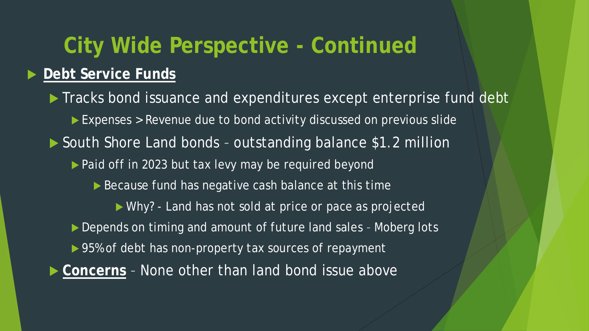# **City Wide Perspective - Continued**

### **Debt Service Funds**

Tracks bond issuance and expenditures except enterprise fund debt Expenses > Revenue due to bond activity discussed on previous slide ▶ South Shore Land bonds - outstanding balance \$1.2 million ▶ Paid off in 2023 but tax levy may be required beyond Because fund has negative cash balance at this time Why? - Land has not sold at price or pace as projected Depends on timing and amount of future land sales - Moberg lots ▶ 95% of debt has non-property tax sources of repayment ▶ Concerns - None other than land bond issue above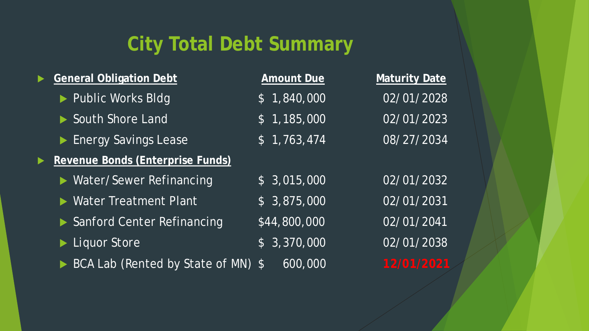## **City Total Debt Summary**

| <b>General Obligation Debt</b>   | Amount Due                | Maturity Date |
|----------------------------------|---------------------------|---------------|
| ▶ Public Works Bldg              | \$1,840,000               | 02/01/2028    |
| South Shore Land                 | \$1,185,000               | 02/01/2023    |
| Energy Savings Lease             | \$1,763,474               | 08/27/2034    |
| Revenue Bonds (Enterprise Funds) |                           |               |
| ▶ Water/Sewer Refinancing        | \$3,015,000               | 02/01/2032    |
| ▶ Water Treatment Plant          | \$3,875,000               | 02/01/2031    |
| Sanford Center Refinancing       | \$44,800,000              | 02/01/2041    |
| Liquor Store                     | \$3,370,000               | 02/01/2038    |
| BCA Lab (Rented by State of MN)  | $\overline{600,000}$<br>5 | 12/01/2021    |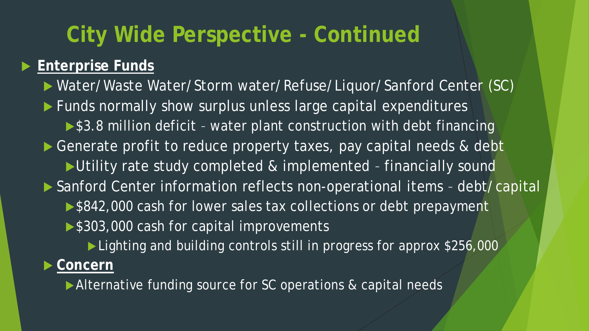# **City Wide Perspective - Continued**

### **Enterprise Funds**

 Water/Waste Water/Storm water/Refuse/Liquor/Sanford Center (SC) ▶ Funds normally show surplus unless large capital expenditures ▶ \$3.8 million deficit - water plant construction with debt financing Generate profit to reduce property taxes, pay capital needs & debt Utility rate study completed & implemented - financially sound ▶ Sanford Center information reflects non-operational items - debt/capital ▶ \$842,000 cash for lower sales tax collections or debt prepayment ▶ \$303,000 cash for capital improvements ► Lighting and building controls still in progress for approx \$256,000

### **Concern**

Alternative funding source for SC operations & capital needs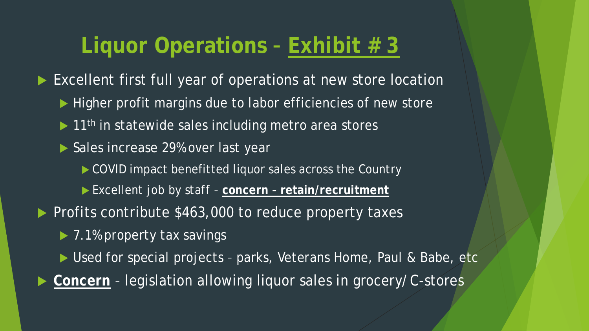# **Liquor Operations – Exhibit # 3**

Excellent first full year of operations at new store location

- Higher profit margins due to labor efficiencies of new store
- $\blacktriangleright$  11<sup>th</sup> in statewide sales including metro area stores
- Sales increase 29% over last year
	- COVID impact benefitted liquor sales across the Country
	- Excellent job by staff **concern – retain/recruitment**
- Profits contribute \$463,000 to reduce property taxes
	- ▶ 7.1% property tax savings
	- ▶ Used for special projects parks, Veterans Home, Paul & Babe, etc
- **Concern** legislation allowing liquor sales in grocery/C-stores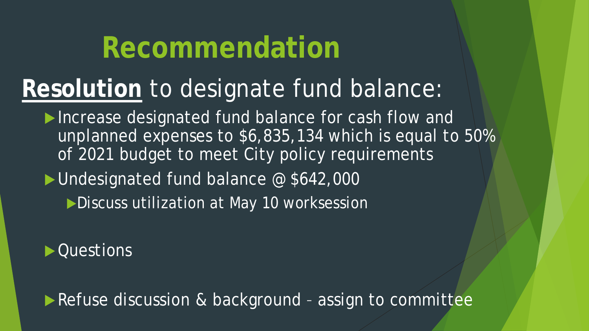# **Recommendation**

# **Resolution** to designate fund balance:

- Increase designated fund balance for cash flow and unplanned expenses to \$6,835,134 which is equal to 50% of 2021 budget to meet City policy requirements
- Undesignated fund balance @ \$642,000
	- Discuss utilization at May 10 worksession

▶ Questions

Refuse discussion & background - assign to committee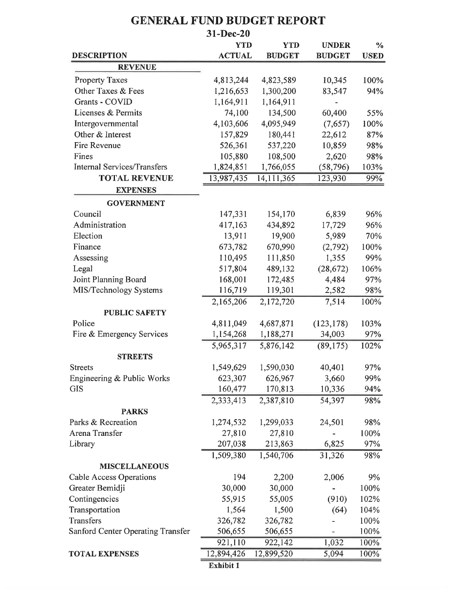|                                    | 31-Dec-20     |               |               |               |
|------------------------------------|---------------|---------------|---------------|---------------|
|                                    | <b>YTD</b>    | <b>YTD</b>    | <b>UNDER</b>  | $\frac{0}{0}$ |
| <b>DESCRIPTION</b>                 | <b>ACTUAL</b> | <b>BUDGET</b> | <b>BUDGET</b> | <b>USED</b>   |
| <b>REVENUE</b>                     |               |               |               |               |
| <b>Property Taxes</b>              | 4,813,244     | 4,823,589     | 10,345        | 100%          |
| Other Taxes & Fees                 | 1,216,653     | 1,300,200     | 83,547        | 94%           |
| Grants - COVID                     | 1,164,911     | 1,164,911     |               |               |
| Licenses & Permits                 | 74,100        | 134,500       | 60,400        | 55%           |
| Intergovernmental                  | 4,103,606     | 4,095,949     | (7,657)       | 100%          |
| Other & Interest                   | 157,829       | 180,441       | 22,612        | 87%           |
| Fire Revenue                       | 526,361       | 537,220       | 10,859        | 98%           |
| Fines                              | 105,880       | 108,500       | 2,620         | 98%           |
| <b>Internal Services/Transfers</b> | 1,824,851     | 1,766,055     | (58, 796)     | 103%          |
| <b>TOTAL REVENUE</b>               | 13,987,435    | 14,111,365    | 123,930       | 99%           |
| <b>EXPENSES</b>                    |               |               |               |               |
| <b>GOVERNMENT</b>                  |               |               |               |               |
| Council                            | 147,331       | 154,170       | 6,839         | 96%           |
| Administration                     | 417,163       | 434,892       | 17,729        | 96%           |
| Election                           | 13,911        | 19,900        | 5,989         | 70%           |
| Finance                            | 673,782       | 670,990       | (2,792)       | 100%          |
| Assessing                          | 110,495       | 111,850       | 1,355         | 99%           |
| Legal                              | 517,804       | 489,132       | (28, 672)     | 106%          |
| Joint Planning Board               | 168,001       | 172,485       | 4,484         | 97%           |
| MIS/Technology Systems             | 116,719       | 119,301       | 2,582         | 98%           |
|                                    | 2,165,206     | 2,172,720     | 7,514         | 100%          |
| <b>PUBLIC SAFETY</b>               |               |               |               |               |
| Police                             | 4,811,049     | 4,687,871     | (123, 178)    | 103%          |
| Fire & Emergency Services          | 1,154,268     | 1,188,271     | 34,003        | 97%           |
|                                    | 5,965,317     | 5,876,142     | (89, 175)     | 102%          |
| <b>STREETS</b>                     |               |               |               |               |
| <b>Streets</b>                     | 1,549,629     | 1,590,030     | 40,401        | 97%           |
| Engineering & Public Works         | 623,307       | 626,967       | 3,660         | 99%           |
| <b>GIS</b>                         | 160,477       | 170,813       | 10,336        | 94%           |
|                                    | 2,333,413     | 2,387,810     | 54,397        | 98%           |
| <b>PARKS</b>                       |               |               |               |               |
| Parks & Recreation                 | 1,274,532     | 1,299,033     | 24,501        | 98%           |
| Arena Transfer                     | 27,810        | 27,810        |               | 100%          |
| Library                            | 207,038       | 213,863       | 6,825         | 97%           |
|                                    | 1,509,380     | 1,540,706     | 31,326        | 98%           |
| <b>MISCELLANEOUS</b>               |               |               |               |               |
| <b>Cable Access Operations</b>     | 194           | 2,200         | 2,006         | 9%            |
| Greater Bemidji                    | 30,000        | 30,000        |               | 100%          |
| Contingencies                      | 55,915        | 55,005        | (910)         | 102%          |
| Transportation                     | 1,564         | 1,500         | (64)          | 104%          |
| Transfers                          | 326,782       | 326,782       |               | 100%          |
| Sanford Center Operating Transfer  | 506,655       | 506,655       |               | 100%          |
|                                    | 921,110       | 922,142       | 1,032         | 100%          |
| <b>TOTAL EXPENSES</b>              | 12,894,426    | 12,899,520    | 5,094         | 100%          |
|                                    |               |               |               |               |

#### **GENERAL FUND BUDGET REPORT**

Exhibit 1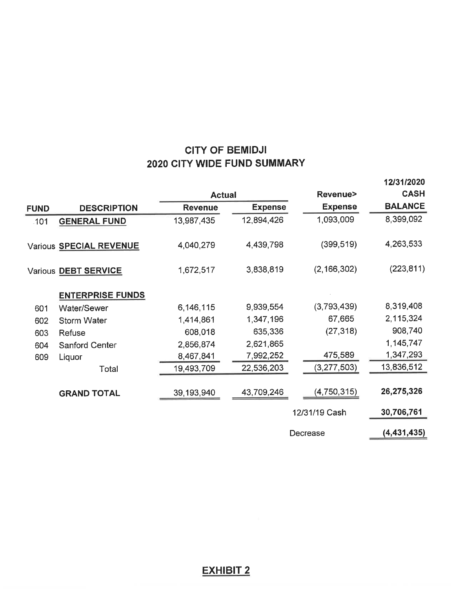#### **CITY OF BEMIDJI** 2020 CITY WIDE FUND SUMMARY

|             |                         |                |                |                | 12/31/2020     |
|-------------|-------------------------|----------------|----------------|----------------|----------------|
|             |                         | <b>Actual</b>  |                | Revenue>       | <b>CASH</b>    |
| <b>FUND</b> | <b>DESCRIPTION</b>      | <b>Revenue</b> | <b>Expense</b> | <b>Expense</b> | <b>BALANCE</b> |
| $-101$      | <b>GENERAL FUND</b>     | 13,987,435     | 12,894,426     | 1,093,009      | 8,399,092      |
|             | Various SPECIAL REVENUE | 4,040,279      | 4,439,798      | (399, 519)     | 4,263,533      |
|             | Various DEBT SERVICE    | 1,672,517      | 3,838,819      | (2, 166, 302)  | (223, 811)     |
|             | <b>ENTERPRISE FUNDS</b> |                |                |                |                |
| 601         | <b>Water/Sewer</b>      | 6,146,115      | 9,939,554      | (3,793,439)    | 8,319,408      |
| 602         | <b>Storm Water</b>      | 1,414,861      | 1,347,196      | 67,665         | 2,115,324      |
| 603         | Refuse                  | 608,018        | 635,336        | (27, 318)      | 908,740        |
| 604         | Sanford Center          | 2,856,874      | 2,621,865      |                | 1,145,747      |
| 609         | Liquor                  | 8,467,841      | 7,992,252      | 475,589        | 1,347,293      |
|             | Total                   | 19,493,709     | 22,536,203     | (3, 277, 503)  | 13,836,512     |
|             | <b>GRAND TOTAL</b>      | 39,193,940     | 43,709,246     | (4,750,315)    | 26,275,326     |
|             |                         |                |                | 12/31/19 Cash  | 30,706,761     |
|             |                         |                |                | Decrease       | (4, 431, 435)  |

#### **EXHIBIT 2**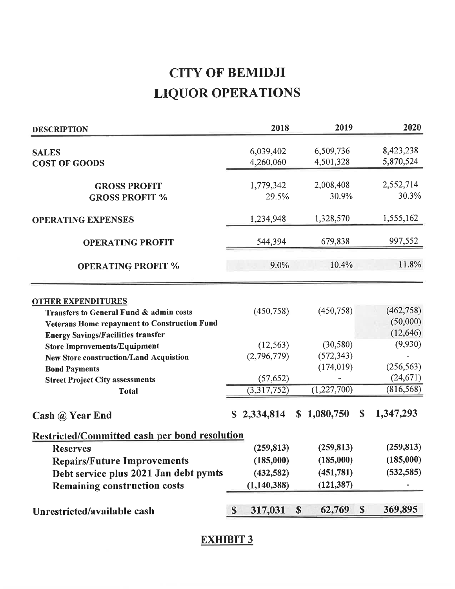### **CITY OF BEMIDJI LIQUOR OPERATIONS**

| <b>DESCRIPTION</b>                                   | 2018                   | 2019                                |              | 2020       |
|------------------------------------------------------|------------------------|-------------------------------------|--------------|------------|
|                                                      |                        |                                     |              |            |
| <b>SALES</b>                                         | 6,039,402              | 6,509,736                           |              | 8,423,238  |
| <b>COST OF GOODS</b>                                 | 4,260,060              | 4,501,328                           |              | 5,870,524  |
| <b>GROSS PROFIT</b>                                  | 1,779,342              | 2,008,408                           |              | 2,552,714  |
| <b>GROSS PROFIT %</b>                                | 29.5%                  | 30.9%                               |              | 30.3%      |
| <b>OPERATING EXPENSES</b>                            | 1,234,948              | 1,328,570                           |              | 1,555,162  |
| <b>OPERATING PROFIT</b>                              | 544,394                | 679,838                             |              | 997,552    |
| <b>OPERATING PROFIT %</b>                            | 9.0%                   | 10.4%                               |              | 11.8%      |
| <b>OTHER EXPENDITURES</b>                            |                        |                                     |              |            |
| Transfers to General Fund & admin costs              | (450, 758)             | (450,758)                           |              | (462, 758) |
| Veterans Home repayment to Construction Fund         |                        |                                     |              | (50,000)   |
| <b>Energy Savings/Facilities transfer</b>            |                        |                                     |              | (12, 646)  |
| <b>Store Improvements/Equipment</b>                  | (12, 563)              | (30, 580)                           |              | (9,930)    |
| <b>New Store construction/Land Acquistion</b>        | (2,796,779)            | (572, 343)                          |              |            |
| <b>Bond Payments</b>                                 |                        | (174, 019)                          |              | (256, 563) |
| <b>Street Project City assessments</b>               | (57, 652)              |                                     |              | (24, 671)  |
| <b>Total</b>                                         | (3,317,752)            | (1,227,700)                         |              | (816, 568) |
| Cash @ Year End                                      | \$2,334,814            | \$1,080,750                         | <sup>S</sup> | 1,347,293  |
| <b>Restricted/Committed cash per bond resolution</b> |                        |                                     |              |            |
| <b>Reserves</b>                                      | (259, 813)             | (259, 813)                          |              | (259, 813) |
| <b>Repairs/Future Improvements</b>                   | (185,000)              | (185,000)                           |              | (185,000)  |
| Debt service plus 2021 Jan debt pymts                | (432, 582)             | (451,781)                           |              | (532, 585) |
| <b>Remaining construction costs</b>                  | (1, 140, 388)          | (121, 387)                          |              |            |
| Unrestricted/available cash                          | 317,031<br>$\mathbf S$ | 62,769<br>$\boldsymbol{\mathsf{S}}$ | $\mathbf{s}$ | 369,895    |

#### **EXHIBIT 3**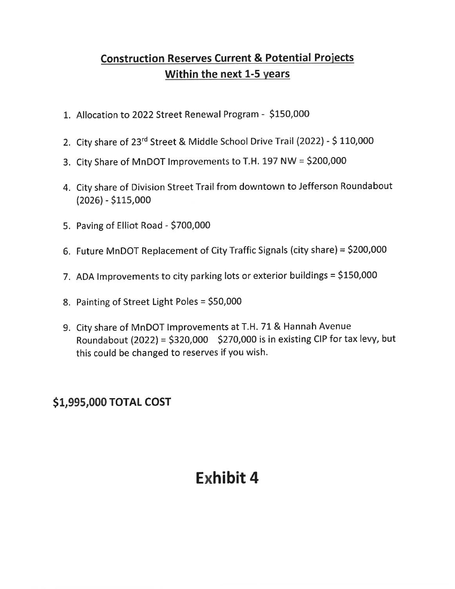#### **Construction Reserves Current & Potential Projects** Within the next 1-5 years

- 1. Allocation to 2022 Street Renewal Program \$150,000
- 2. City share of 23rd Street & Middle School Drive Trail (2022) \$110,000
- 3. City Share of MnDOT Improvements to T.H. 197 NW = \$200,000
- 4. City share of Division Street Trail from downtown to Jefferson Roundabout  $(2026) - $115,000$
- 5. Paving of Elliot Road \$700,000
- 6. Future MnDOT Replacement of City Traffic Signals (city share) = \$200,000
- 7. ADA Improvements to city parking lots or exterior buildings = \$150,000
- 8. Painting of Street Light Poles = \$50,000
- 9. City share of MnDOT Improvements at T.H. 71 & Hannah Avenue Roundabout (2022) = \$320,000 \$270,000 is in existing CIP for tax levy, but this could be changed to reserves if you wish.

#### \$1,995,000 TOTAL COST

### **Exhibit 4**